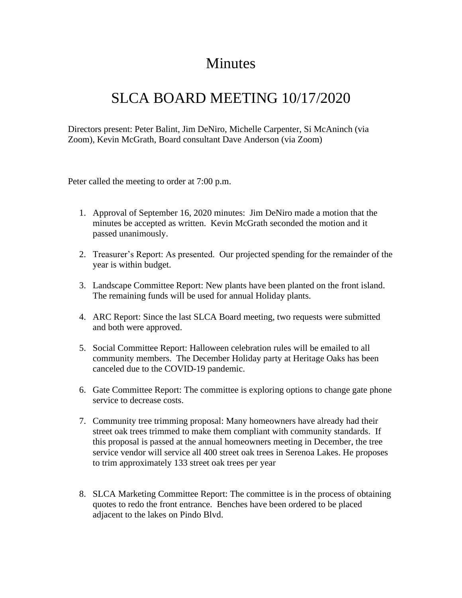## Minutes

## SLCA BOARD MEETING 10/17/2020

Directors present: Peter Balint, Jim DeNiro, Michelle Carpenter, Si McAninch (via Zoom), Kevin McGrath, Board consultant Dave Anderson (via Zoom)

Peter called the meeting to order at 7:00 p.m.

- 1. Approval of September 16, 2020 minutes: Jim DeNiro made a motion that the minutes be accepted as written. Kevin McGrath seconded the motion and it passed unanimously.
- 2. Treasurer's Report: As presented. Our projected spending for the remainder of the year is within budget.
- 3. Landscape Committee Report: New plants have been planted on the front island. The remaining funds will be used for annual Holiday plants.
- 4. ARC Report: Since the last SLCA Board meeting, two requests were submitted and both were approved.
- 5. Social Committee Report: Halloween celebration rules will be emailed to all community members. The December Holiday party at Heritage Oaks has been canceled due to the COVID-19 pandemic.
- 6. Gate Committee Report: The committee is exploring options to change gate phone service to decrease costs.
- 7. Community tree trimming proposal: Many homeowners have already had their street oak trees trimmed to make them compliant with community standards. If this proposal is passed at the annual homeowners meeting in December, the tree service vendor will service all 400 street oak trees in Serenoa Lakes. He proposes to trim approximately 133 street oak trees per year
- 8. SLCA Marketing Committee Report: The committee is in the process of obtaining quotes to redo the front entrance. Benches have been ordered to be placed adjacent to the lakes on Pindo Blvd.